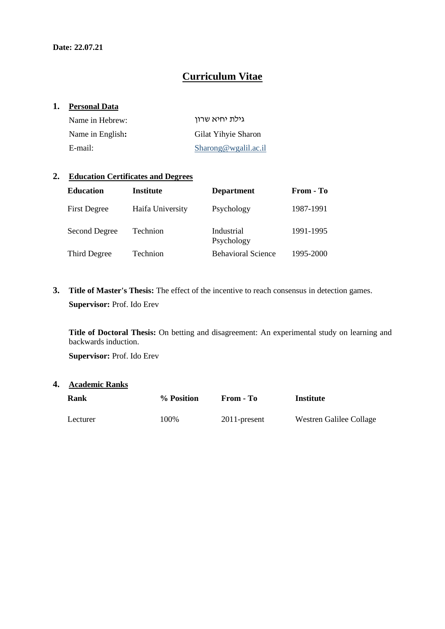# **Curriculum Vitae**

#### **1. Personal Data**

| Name in Hebrew:  | גילת יחיא שרון      |
|------------------|---------------------|
| Name in English: | Gilat Yihyie Sharon |
| E-mail:          | Sharong@wgalil.ac.i |

### **2. Education Certificates and Degrees**

| <b>Education</b>    | <b>Institute</b> | <b>Department</b>         | From - To |
|---------------------|------------------|---------------------------|-----------|
| <b>First Degree</b> | Haifa University | Psychology                | 1987-1991 |
| Second Degree       | Technion         | Industrial<br>Psychology  | 1991-1995 |
| Third Degree        | Technion         | <b>Behavioral Science</b> | 1995-2000 |

**3. Title of Master's Thesis:** The effect of the incentive to reach consensus in detection games. **Supervisor:** Prof. Ido Erev

**Title of Doctoral Thesis:** On betting and disagreement: An experimental study on learning and backwards induction.

**Supervisor:** Prof. Ido Erev

### **4. Academic Ranks**

| Rank     | % Position | From - To       | Institute               |
|----------|------------|-----------------|-------------------------|
| Lecturer | 100%       | $2011$ -present | Westren Galilee Collage |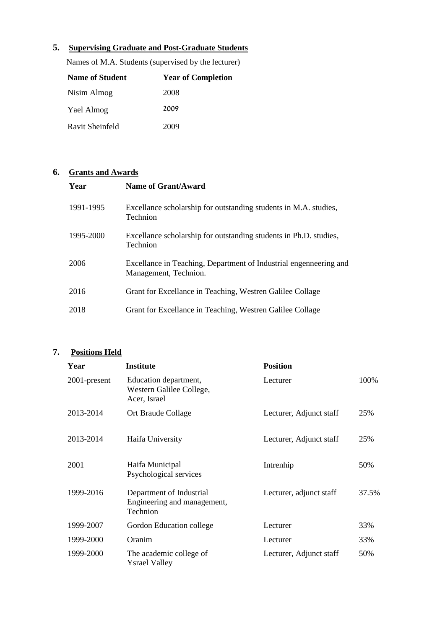# **5. Supervising Graduate and Post-Graduate Students**

| <b>Name of Student</b> | <b>Year of Completion</b> |
|------------------------|---------------------------|
| Nisim Almog            | 2008                      |
| Yael Almog             | 2009                      |
| Ravit Sheinfeld        | 2009                      |

Names of M.A. Students (supervised by the lecturer)

# **6. Grants and Awards**

| Year      | Name of Grant/Award                                                                        |
|-----------|--------------------------------------------------------------------------------------------|
| 1991-1995 | Excellance scholarship for outstanding students in M.A. studies,<br>Technion               |
| 1995-2000 | Excellance scholarship for outstanding students in Ph.D. studies,<br>Technion              |
| 2006      | Excellance in Teaching, Department of Industrial engenneering and<br>Management, Technion. |
| 2016      | Grant for Excellance in Teaching, Westren Galilee Collage                                  |
| 2018      | Grant for Excellance in Teaching, Westren Galilee Collage                                  |

# **7. Positions Held**

| Year         | <b>Institute</b>                                                    | <b>Position</b>         |       |
|--------------|---------------------------------------------------------------------|-------------------------|-------|
| 2001-present | Education department,<br>Western Galilee College,<br>Acer, Israel   | Lecturer                | 100\% |
| 2013-2014    | Ort Braude Collage                                                  | Lecturer, Adjunct staff | 25%   |
| 2013-2014    | Haifa University                                                    | Lecturer, Adjunct staff | 25%   |
| 2001         | Haifa Municipal<br>Psychological services                           | Intrenhip               | 50%   |
| 1999-2016    | Department of Industrial<br>Engineering and management,<br>Technion | Lecturer, adjunct staff | 37.5% |
| 1999-2007    | Gordon Education college                                            | Lecturer                | 33%   |
| 1999-2000    | Oranim                                                              | Lecturer                | 33%   |
| 1999-2000    | The academic college of<br><b>Ysrael Valley</b>                     | Lecturer, Adjunct staff | 50%   |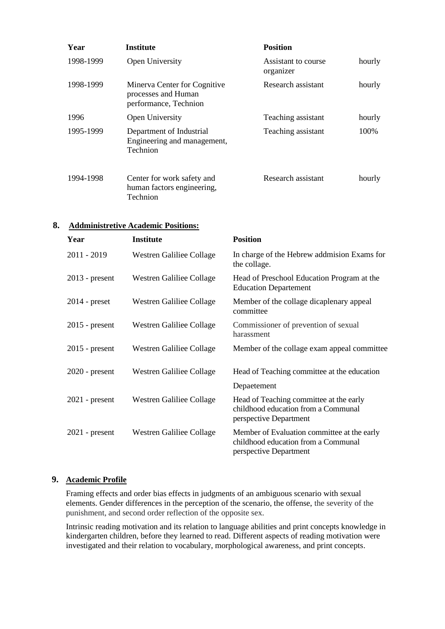| Year      | <b>Institute</b>                                                             | <b>Position</b>                  |        |
|-----------|------------------------------------------------------------------------------|----------------------------------|--------|
| 1998-1999 | Open University                                                              | Assistant to course<br>organizer | hourly |
| 1998-1999 | Minerva Center for Cognitive<br>processes and Human<br>performance, Technion | Research assistant               | hourly |
| 1996      | Open University                                                              | Teaching assistant               | hourly |
| 1995-1999 | Department of Industrial<br>Engineering and management,<br>Technion          | Teaching assistant               | 100%   |
| 1994-1998 | Center for work safety and<br>human factors engineering,<br>Technion         | Research assistant               | hourly |

## **8. Addministretive Academic Positions:**

| Year             | <b>Institute</b>         | <b>Position</b>                                                                                              |
|------------------|--------------------------|--------------------------------------------------------------------------------------------------------------|
| 2011 - 2019      | Westren Galiliee Collage | In charge of the Hebrew addmision Exams for<br>the collage.                                                  |
| $2013$ - present | Westren Galiliee Collage | Head of Preschool Education Program at the<br><b>Education Departement</b>                                   |
| $2014$ - preset  | Westren Galiliee Collage | Member of the collage dicaplenary appeal<br>committee                                                        |
| $2015$ - present | Westren Galiliee Collage | Commissioner of prevention of sexual<br>harassment                                                           |
| $2015$ - present | Westren Galiliee Collage | Member of the collage exam appeal committee                                                                  |
| $2020$ - present | Westren Galiliee Collage | Head of Teaching committee at the education                                                                  |
|                  |                          | Depaetement                                                                                                  |
| $2021$ - present | Westren Galiliee Collage | Head of Teaching committee at the early<br>childhood education from a Communal<br>perspective Department     |
| $2021$ - present | Westren Galiliee Collage | Member of Evaluation committee at the early<br>childhood education from a Communal<br>perspective Department |

## **9. Academic Profile**

Framing effects and order bias effects in judgments of an ambiguous scenario with sexual elements. Gender differences in the perception of the scenario, the offense, the severity of the punishment, and second order reflection of the opposite sex.

Intrinsic reading motivation and its relation to language abilities and print concepts knowledge in kindergarten children, before they learned to read. Different aspects of reading motivation were investigated and their relation to vocabulary, morphological awareness, and print concepts.